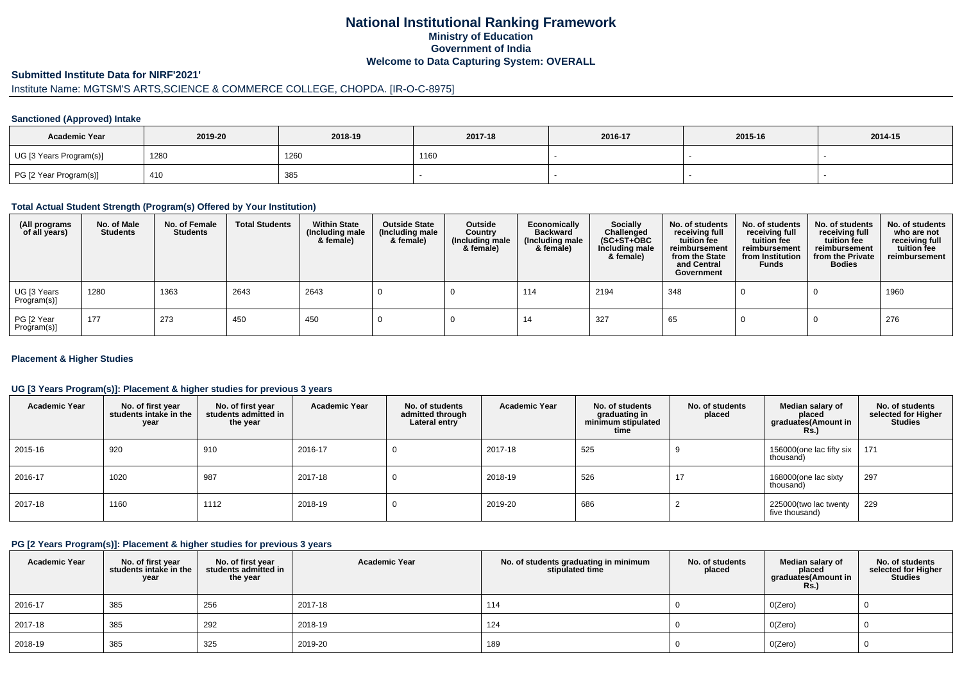# **National Institutional Ranking FrameworkMinistry of Education Government of IndiaWelcome to Data Capturing System: OVERALL**

# **Submitted Institute Data for NIRF'2021'**

# Institute Name: MGTSM'S ARTS,SCIENCE & COMMERCE COLLEGE, CHOPDA. [IR-O-C-8975]

#### **Sanctioned (Approved) Intake**

| <b>Academic Year</b>    | 2019-20 | 2018-19 | 2017-18 | 2016-17 | 2015-16 | 2014-15 |
|-------------------------|---------|---------|---------|---------|---------|---------|
| UG [3 Years Program(s)] | 1280    | 1260    | 1160    |         |         |         |
| PG [2 Year Program(s)]  | 410     | 385     |         |         |         |         |

### **Total Actual Student Strength (Program(s) Offered by Your Institution)**

| (All programs<br>of all years) | No. of Male<br><b>Students</b> | No. of Female<br><b>Students</b> | <b>Total Students</b> | <b>Within State</b><br>(Including male<br>& female) | <b>Outside State</b><br>(Including male<br>& female) | Outside<br>Country<br>(Including male<br>& female) | Economically<br><b>Backward</b><br>(Including male<br>& female) | <b>Socially</b><br>Challenged<br>$(SC+ST+OBC)$<br>Including male<br>& female) | No. of students<br>receiving full<br>tuition fee<br>reimbursement<br>from the State<br>and Central<br>Government | No. of students<br>receiving full<br>tuition fee<br>reimbursement<br>from Institution<br><b>Funds</b> | No. of students<br>receiving full<br>tuition fee<br>reimbursement<br>from the Private<br><b>Bodies</b> | No. of students<br>who are not<br>receiving full<br>tuition fee<br>reimbursement |
|--------------------------------|--------------------------------|----------------------------------|-----------------------|-----------------------------------------------------|------------------------------------------------------|----------------------------------------------------|-----------------------------------------------------------------|-------------------------------------------------------------------------------|------------------------------------------------------------------------------------------------------------------|-------------------------------------------------------------------------------------------------------|--------------------------------------------------------------------------------------------------------|----------------------------------------------------------------------------------|
| UG [3 Years<br>Program(s)]     | 1280                           | 1363                             | 2643                  | 2643                                                |                                                      |                                                    | 114                                                             | 2194                                                                          | 348                                                                                                              |                                                                                                       |                                                                                                        | 1960                                                                             |
| PG [2 Year<br>Program(s)]      | 177                            | 273                              | 450                   | 450                                                 |                                                      |                                                    | 14                                                              | 327                                                                           | 65                                                                                                               |                                                                                                       |                                                                                                        | 276                                                                              |

#### **Placement & Higher Studies**

### **UG [3 Years Program(s)]: Placement & higher studies for previous 3 years**

| <b>Academic Year</b> | No. of first year<br>students intake in the<br>year | No. of first vear<br>students admitted in<br>the year | <b>Academic Year</b> | No. of students<br>admitted through<br>Lateral entry | <b>Academic Year</b> | No. of students<br>graduating in<br>minimum stipulated<br>time | No. of students<br>placed | Median salary of<br>placed<br>graduates(Amount in<br><b>Rs.</b> ) | No. of students<br>selected for Higher<br><b>Studies</b> |
|----------------------|-----------------------------------------------------|-------------------------------------------------------|----------------------|------------------------------------------------------|----------------------|----------------------------------------------------------------|---------------------------|-------------------------------------------------------------------|----------------------------------------------------------|
| 2015-16              | 920                                                 | 910                                                   | 2016-17              | υ                                                    | 2017-18              | 525                                                            |                           | 156000(one lac fifty six<br>thousand)                             | 171                                                      |
| 2016-17              | 1020                                                | 987                                                   | 2017-18              | υ                                                    | 2018-19              | 526                                                            | 17                        | 168000(one lac sixty<br>thousand)                                 | 297                                                      |
| 2017-18              | 1160                                                | 1112                                                  | 2018-19              | υ                                                    | 2019-20              | 686                                                            |                           | 225000(two lac twenty<br>five thousand)                           | 229                                                      |

#### **PG [2 Years Program(s)]: Placement & higher studies for previous 3 years**

| <b>Academic Year</b> | No. of first year<br>students intake in the<br>year | No. of first year<br>students admitted in<br>the year | <b>Academic Year</b> | No. of students graduating in minimum<br>stipulated time | No. of students<br>placed | Median salary of<br>placed<br>graduates(Amount in<br><b>Rs.)</b> | No. of students<br>selected for Higher<br><b>Studies</b> |
|----------------------|-----------------------------------------------------|-------------------------------------------------------|----------------------|----------------------------------------------------------|---------------------------|------------------------------------------------------------------|----------------------------------------------------------|
| 2016-17              | 385                                                 | 256                                                   | 2017-18              | 114                                                      |                           | O(Zero)                                                          |                                                          |
| 2017-18              | 385                                                 | 292                                                   | 2018-19              | 124                                                      |                           | O(Zero)                                                          |                                                          |
| 2018-19              | 385                                                 | 325                                                   | 2019-20              | 189                                                      |                           | O(Zero)                                                          |                                                          |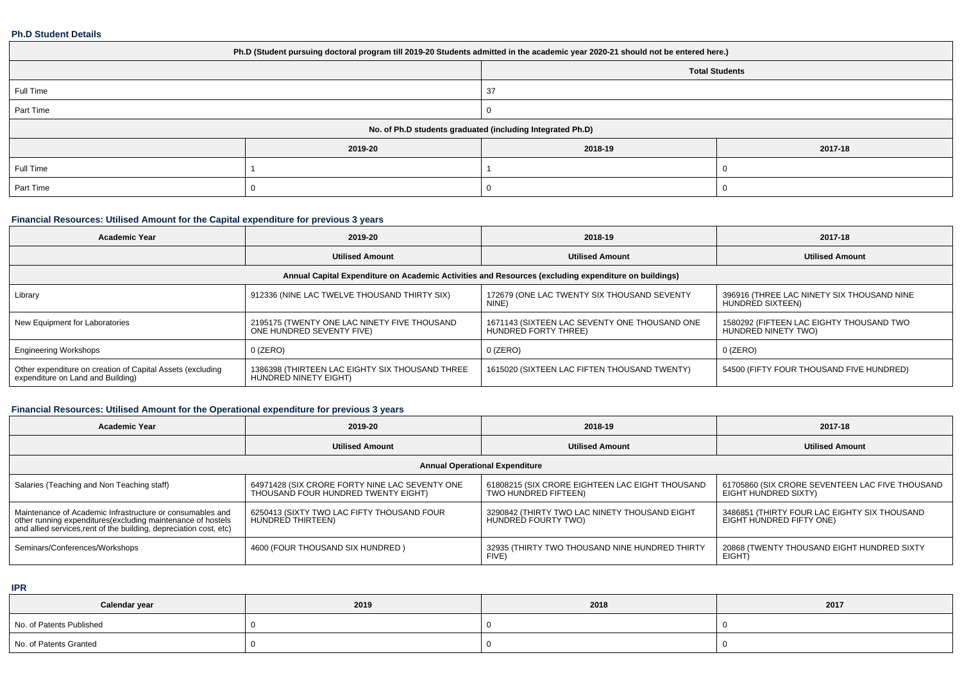#### **Ph.D Student Details**

| Ph.D (Student pursuing doctoral program till 2019-20 Students admitted in the academic year 2020-21 should not be entered here.) |         |         |                       |  |  |
|----------------------------------------------------------------------------------------------------------------------------------|---------|---------|-----------------------|--|--|
|                                                                                                                                  |         |         | <b>Total Students</b> |  |  |
| Full Time                                                                                                                        |         | 37      |                       |  |  |
| Part Time                                                                                                                        |         |         |                       |  |  |
| No. of Ph.D students graduated (including Integrated Ph.D)                                                                       |         |         |                       |  |  |
|                                                                                                                                  | 2019-20 | 2018-19 | 2017-18               |  |  |
| Full Time                                                                                                                        |         |         |                       |  |  |
| Part Time                                                                                                                        |         |         |                       |  |  |

## **Financial Resources: Utilised Amount for the Capital expenditure for previous 3 years**

| <b>Academic Year</b>                                                                                 | 2019-20                                                                   | 2018-19                                                               | 2017-18                                                         |  |  |  |
|------------------------------------------------------------------------------------------------------|---------------------------------------------------------------------------|-----------------------------------------------------------------------|-----------------------------------------------------------------|--|--|--|
|                                                                                                      | <b>Utilised Amount</b>                                                    | <b>Utilised Amount</b>                                                | <b>Utilised Amount</b>                                          |  |  |  |
| Annual Capital Expenditure on Academic Activities and Resources (excluding expenditure on buildings) |                                                                           |                                                                       |                                                                 |  |  |  |
| Library                                                                                              | 912336 (NINE LAC TWELVE THOUSAND THIRTY SIX)                              | 172679 (ONE LAC TWENTY SIX THOUSAND SEVENTY<br>NINE)                  | 396916 (THREE LAC NINETY SIX THOUSAND NINE<br>HUNDRED SIXTEEN)  |  |  |  |
| New Equipment for Laboratories                                                                       | 2195175 (TWENTY ONE LAC NINETY FIVE THOUSAND<br>ONE HUNDRED SEVENTY FIVE) | 1671143 (SIXTEEN LAC SEVENTY ONE THOUSAND ONE<br>HUNDRED FORTY THREE) | 1580292 (FIFTEEN LAC EIGHTY THOUSAND TWO<br>HUNDRED NINETY TWO) |  |  |  |
| <b>Engineering Workshops</b>                                                                         | $0$ (ZERO)                                                                | 0 (ZERO)                                                              | $0$ (ZERO)                                                      |  |  |  |
| Other expenditure on creation of Capital Assets (excluding<br>expenditure on Land and Building)      | 1386398 (THIRTEEN LAC EIGHTY SIX THOUSAND THREE<br>HUNDRED NINETY EIGHT)  | 1615020 (SIXTEEN LAC FIFTEN THOUSAND TWENTY)                          | 54500 (FIFTY FOUR THOUSAND FIVE HUNDRED)                        |  |  |  |

## **Financial Resources: Utilised Amount for the Operational expenditure for previous 3 years**

| <b>Academic Year</b>                                                                                                                                                                            | 2019-20                                                                               | 2018-19                                                                 | 2017-18                                                                  |  |  |  |
|-------------------------------------------------------------------------------------------------------------------------------------------------------------------------------------------------|---------------------------------------------------------------------------------------|-------------------------------------------------------------------------|--------------------------------------------------------------------------|--|--|--|
|                                                                                                                                                                                                 | <b>Utilised Amount</b>                                                                | <b>Utilised Amount</b>                                                  | <b>Utilised Amount</b>                                                   |  |  |  |
| <b>Annual Operational Expenditure</b>                                                                                                                                                           |                                                                                       |                                                                         |                                                                          |  |  |  |
| Salaries (Teaching and Non Teaching staff)                                                                                                                                                      | 64971428 (SIX CRORE FORTY NINE LAC SEVENTY ONE<br>THOUSAND FOUR HUNDRED TWENTY EIGHT) | 61808215 (SIX CRORE EIGHTEEN LAC EIGHT THOUSAND<br>TWO HUNDRED FIFTEEN) | 61705860 (SIX CRORE SEVENTEEN LAC FIVE THOUSAND<br>EIGHT HUNDRED SIXTY)  |  |  |  |
| Maintenance of Academic Infrastructure or consumables and<br>other running expenditures (excluding maintenance of hostels<br>and allied services, rent of the building, depreciation cost, etc) | 6250413 (SIXTY TWO LAC FIFTY THOUSAND FOUR<br>HUNDRED THIRTEEN)                       | 3290842 (THIRTY TWO LAC NINETY THOUSAND EIGHT<br>HUNDRED FOURTY TWO)    | 3486851 (THIRTY FOUR LAC EIGHTY SIX THOUSAND<br>EIGHT HUNDRED FIFTY ONE) |  |  |  |
| Seminars/Conferences/Workshops                                                                                                                                                                  | 4600 (FOUR THOUSAND SIX HUNDRED)                                                      | 32935 (THIRTY TWO THOUSAND NINE HUNDRED THIRTY<br><b>FIVE</b>           | 20868 (TWENTY THOUSAND EIGHT HUNDRED SIXTY<br>EIGHT)                     |  |  |  |

**IPR**

| Calendar year            | 2019 | 2018 | 2017 |
|--------------------------|------|------|------|
| No. of Patents Published |      |      |      |
| No. of Patents Granted   |      |      |      |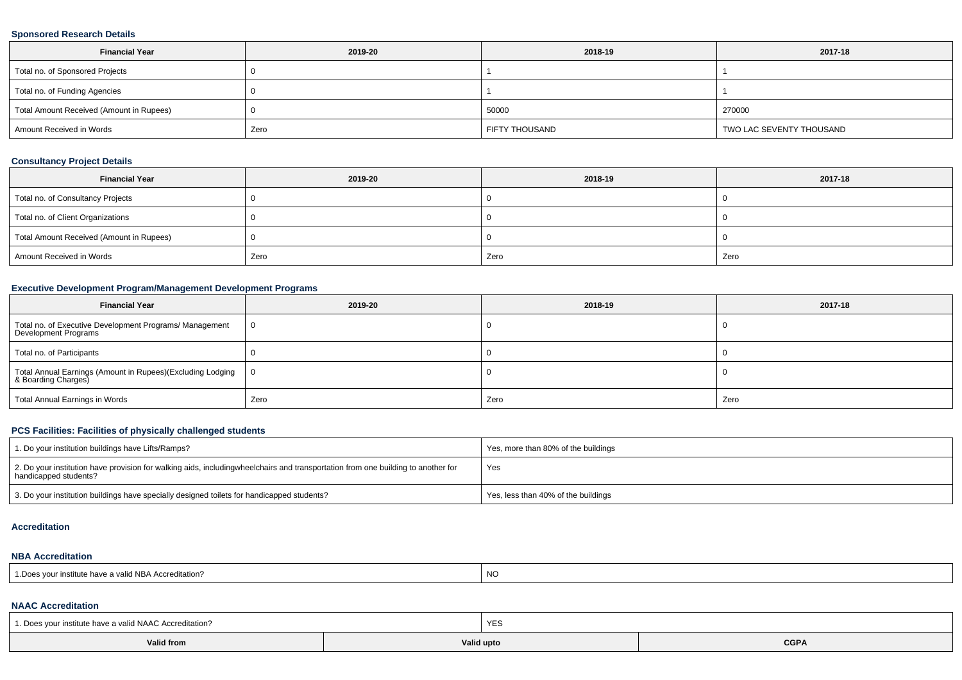#### **Sponsored Research Details**

| <b>Financial Year</b>                    | 2019-20 | 2018-19        | 2017-18                  |
|------------------------------------------|---------|----------------|--------------------------|
| Total no. of Sponsored Projects          |         |                |                          |
| Total no. of Funding Agencies            |         |                |                          |
| Total Amount Received (Amount in Rupees) |         | 50000          | 270000                   |
| Amount Received in Words                 | Zero    | FIFTY THOUSAND | TWO LAC SEVENTY THOUSAND |

### **Consultancy Project Details**

| <b>Financial Year</b>                    | 2019-20 | 2018-19 | 2017-18 |
|------------------------------------------|---------|---------|---------|
| Total no. of Consultancy Projects        |         |         |         |
| Total no. of Client Organizations        |         |         |         |
| Total Amount Received (Amount in Rupees) |         |         |         |
| Amount Received in Words                 | Zero    | Zero    | Zero    |

## **Executive Development Program/Management Development Programs**

| <b>Financial Year</b>                                                             | 2019-20 | 2018-19 | 2017-18 |
|-----------------------------------------------------------------------------------|---------|---------|---------|
| Total no. of Executive Development Programs/ Management<br>Development Programs   | - 0     |         |         |
| Total no. of Participants                                                         |         |         |         |
| Total Annual Earnings (Amount in Rupees)(Excluding Lodging<br>& Boarding Charges) |         |         |         |
| Total Annual Earnings in Words                                                    | Zero    | Zero    | Zero    |

## **PCS Facilities: Facilities of physically challenged students**

| 1. Do your institution buildings have Lifts/Ramps?                                                                                                        | Yes, more than 80% of the buildings |
|-----------------------------------------------------------------------------------------------------------------------------------------------------------|-------------------------------------|
| 2. Do your institution have provision for walking aids, includingwheelchairs and transportation from one building to another for<br>handicapped students? | Yes                                 |
| 3. Do your institution buildings have specially designed toilets for handicapped students?                                                                | Yes, less than 40% of the buildings |

#### **Accreditation**

#### **NBA Accreditation**

| ് ഈ a valid NBA Accres<br>$^{\circ}$ Dec<br>ੇ  creditation .<br>. vour institute<br>nave a<br>. vv. | <b>NO</b> |
|-----------------------------------------------------------------------------------------------------|-----------|
|-----------------------------------------------------------------------------------------------------|-----------|

# **NAAC Accreditation**

| 1. Does your institute have a valid NAAC Accreditation? |            | YES |             |  |  |  |
|---------------------------------------------------------|------------|-----|-------------|--|--|--|
| Valid from                                              | Valid upto |     | <b>CGPA</b> |  |  |  |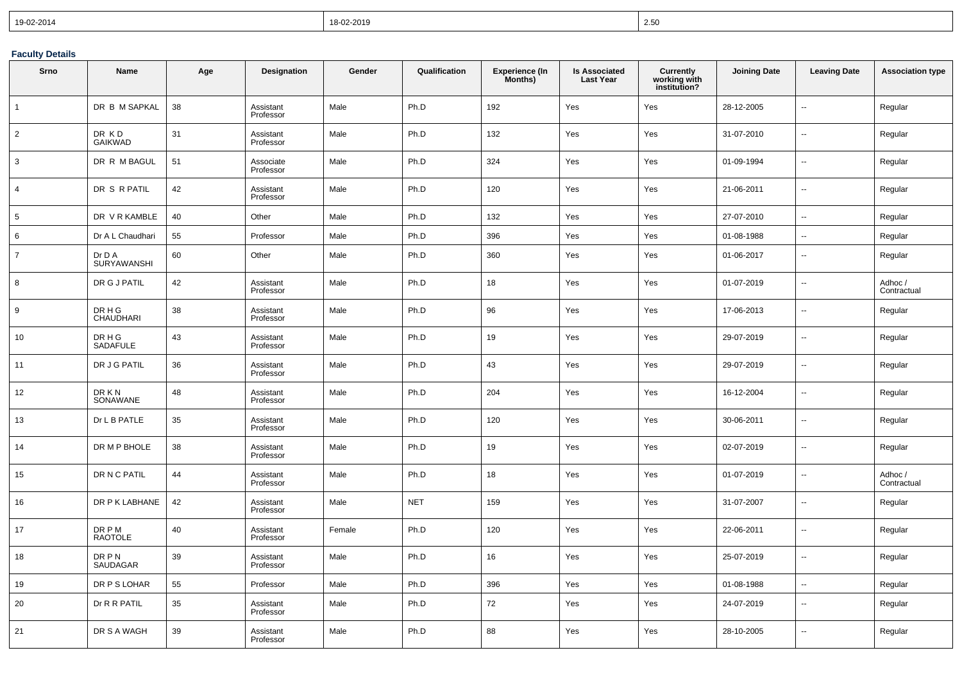| 19-02-2014 | 18-02-2019 | 250<br>ںء |
|------------|------------|-----------|
|------------|------------|-----------|

## **Faculty Details**

| Srno            | Name                                                   | Age | Designation            | Gender | Qualification | <b>Experience (In</b><br>Months) | <b>Is Associated</b><br><b>Last Year</b> | <b>Currently</b><br>working with<br>institution? | <b>Joining Date</b> | <b>Leaving Date</b>      | <b>Association type</b> |
|-----------------|--------------------------------------------------------|-----|------------------------|--------|---------------|----------------------------------|------------------------------------------|--------------------------------------------------|---------------------|--------------------------|-------------------------|
| $\overline{1}$  | DR B M SAPKAL                                          | 38  | Assistant<br>Professor | Male   | Ph.D          | 192                              | Yes                                      | Yes                                              | 28-12-2005          | u.                       | Regular                 |
| 2               | DR KD<br><b>GAIKWAD</b>                                | 31  | Assistant<br>Professor | Male   | Ph.D          | 132                              | Yes                                      | Yes                                              | 31-07-2010          | u.                       | Regular                 |
| $\mathbf{3}$    | DR R M BAGUL                                           | 51  | Associate<br>Professor | Male   | Ph.D          | 324                              | Yes                                      | Yes                                              | 01-09-1994          | Ξ.                       | Regular                 |
| $\overline{4}$  | DR S R PATIL                                           | 42  | Assistant<br>Professor | Male   | Ph.D          | 120                              | Yes                                      | Yes                                              | 21-06-2011          | Ξ.                       | Regular                 |
| $5\phantom{.0}$ | DR V R KAMBLE                                          | 40  | Other                  | Male   | Ph.D          | 132                              | Yes                                      | Yes                                              | 27-07-2010          | Ξ.                       | Regular                 |
| 6               | Dr A L Chaudhari                                       | 55  | Professor              | Male   | Ph.D          | 396                              | Yes                                      | Yes                                              | 01-08-1988          | --                       | Regular                 |
| $\overline{7}$  | Dr D A<br>SURYAWANSHI                                  | 60  | Other                  | Male   | Ph.D          | 360                              | Yes                                      | Yes                                              | 01-06-2017          | Ξ.                       | Regular                 |
| 8               | DR G J PATIL                                           | 42  | Assistant<br>Professor | Male   | Ph.D          | 18                               | Yes                                      | Yes                                              | 01-07-2019          | Ξ.                       | Adhoc /<br>Contractual  |
| 9               | $\texttt{DR} \, \texttt{H} \, \texttt{G}$<br>CHAUDHARI | 38  | Assistant<br>Professor | Male   | Ph.D          | 96                               | Yes                                      | Yes                                              | 17-06-2013          | Ξ.                       | Regular                 |
| 10              | DR H G<br>SADAFULE                                     | 43  | Assistant<br>Professor | Male   | Ph.D          | 19                               | Yes                                      | Yes                                              | 29-07-2019          | ц.                       | Regular                 |
| 11              | DR J G PATIL                                           | 36  | Assistant<br>Professor | Male   | Ph.D          | 43                               | Yes                                      | Yes                                              | 29-07-2019          | Ξ.                       | Regular                 |
| 12              | DR K N<br>SONAWANE                                     | 48  | Assistant<br>Professor | Male   | Ph.D          | 204                              | Yes                                      | Yes                                              | 16-12-2004          | Ξ.                       | Regular                 |
| 13              | Dr L B PATLE                                           | 35  | Assistant<br>Professor | Male   | Ph.D          | 120                              | Yes                                      | Yes                                              | 30-06-2011          | L.                       | Regular                 |
| 14              | DR M P BHOLE                                           | 38  | Assistant<br>Professor | Male   | Ph.D          | 19                               | Yes                                      | Yes                                              | 02-07-2019          | $\ddotsc$                | Regular                 |
| 15              | DR N C PATIL                                           | 44  | Assistant<br>Professor | Male   | Ph.D          | 18                               | Yes                                      | Yes                                              | 01-07-2019          | Ξ.                       | Adhoc /<br>Contractual  |
| 16              | DR P K LABHANE                                         | 42  | Assistant<br>Professor | Male   | <b>NET</b>    | 159                              | Yes                                      | Yes                                              | 31-07-2007          |                          | Regular                 |
| 17              | <b>DRPM</b><br><b>RAOTOLE</b>                          | 40  | Assistant<br>Professor | Female | Ph.D          | 120                              | Yes                                      | Yes                                              | 22-06-2011          | Ξ.                       | Regular                 |
| 18              | DR P N<br><b>SAUDAGAR</b>                              | 39  | Assistant<br>Professor | Male   | Ph.D          | 16                               | Yes                                      | Yes                                              | 25-07-2019          | Ξ.                       | Regular                 |
| 19              | DR P S LOHAR                                           | 55  | Professor              | Male   | Ph.D          | 396                              | Yes                                      | Yes                                              | 01-08-1988          | L.                       | Regular                 |
| 20              | Dr R R PATIL                                           | 35  | Assistant<br>Professor | Male   | Ph.D          | 72                               | Yes                                      | Yes                                              | 24-07-2019          | Ξ.                       | Regular                 |
| 21              | DR S A WAGH                                            | 39  | Assistant<br>Professor | Male   | Ph.D          | 88                               | Yes                                      | Yes                                              | 28-10-2005          | $\overline{\phantom{a}}$ | Regular                 |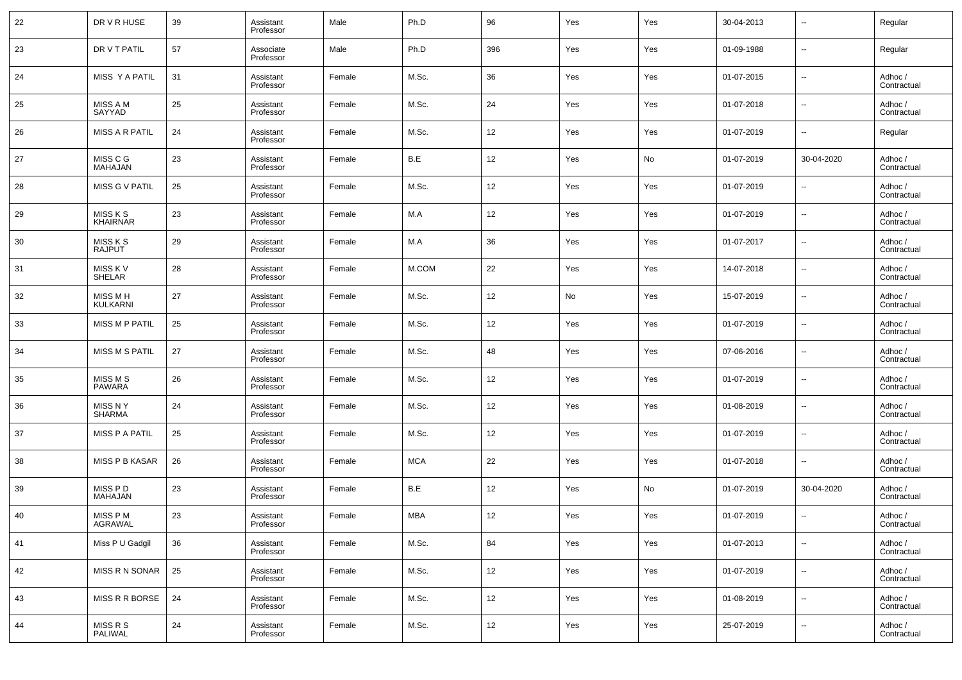| 22 | DR V R HUSE                      | 39 | Assistant<br>Professor | Male   | Ph.D       | 96  | Yes | Yes | 30-04-2013 | $\overline{\phantom{a}}$ | Regular                |
|----|----------------------------------|----|------------------------|--------|------------|-----|-----|-----|------------|--------------------------|------------------------|
| 23 | DR V T PATIL                     | 57 | Associate<br>Professor | Male   | Ph.D       | 396 | Yes | Yes | 01-09-1988 | $\overline{\phantom{a}}$ | Regular                |
| 24 | MISS Y A PATIL                   | 31 | Assistant<br>Professor | Female | M.Sc.      | 36  | Yes | Yes | 01-07-2015 | $\overline{\phantom{a}}$ | Adhoc /<br>Contractual |
| 25 | MISS A M<br>SAYYAD               | 25 | Assistant<br>Professor | Female | M.Sc.      | 24  | Yes | Yes | 01-07-2018 | $\overline{\phantom{a}}$ | Adhoc /<br>Contractual |
| 26 | <b>MISS A R PATIL</b>            | 24 | Assistant<br>Professor | Female | M.Sc.      | 12  | Yes | Yes | 01-07-2019 | $\overline{\phantom{a}}$ | Regular                |
| 27 | MISS C G<br><b>MAHAJAN</b>       | 23 | Assistant<br>Professor | Female | B.E        | 12  | Yes | No  | 01-07-2019 | 30-04-2020               | Adhoc /<br>Contractual |
| 28 | MISS G V PATIL                   | 25 | Assistant<br>Professor | Female | M.Sc.      | 12  | Yes | Yes | 01-07-2019 | $\overline{\phantom{a}}$ | Adhoc /<br>Contractual |
| 29 | MISS K S<br><b>KHAIRNAR</b>      | 23 | Assistant<br>Professor | Female | M.A        | 12  | Yes | Yes | 01-07-2019 | $\overline{\phantom{a}}$ | Adhoc /<br>Contractual |
| 30 | MISS K S<br><b>RAJPUT</b>        | 29 | Assistant<br>Professor | Female | M.A        | 36  | Yes | Yes | 01-07-2017 | $\overline{\phantom{a}}$ | Adhoc /<br>Contractual |
| 31 | MISS K V<br>SHELAR               | 28 | Assistant<br>Professor | Female | M.COM      | 22  | Yes | Yes | 14-07-2018 | $\overline{\phantom{a}}$ | Adhoc /<br>Contractual |
| 32 | MISS M H<br>KULKARNI             | 27 | Assistant<br>Professor | Female | M.Sc.      | 12  | No  | Yes | 15-07-2019 | $\overline{\phantom{a}}$ | Adhoc /<br>Contractual |
| 33 | <b>MISS M P PATIL</b>            | 25 | Assistant<br>Professor | Female | M.Sc.      | 12  | Yes | Yes | 01-07-2019 | $\overline{\phantom{a}}$ | Adhoc /<br>Contractual |
| 34 | <b>MISS M S PATIL</b>            | 27 | Assistant<br>Professor | Female | M.Sc.      | 48  | Yes | Yes | 07-06-2016 | $\overline{\phantom{a}}$ | Adhoc /<br>Contractual |
| 35 | MISS M S<br><b>PAWARA</b>        | 26 | Assistant<br>Professor | Female | M.Sc.      | 12  | Yes | Yes | 01-07-2019 | $\overline{\phantom{a}}$ | Adhoc /<br>Contractual |
| 36 | <b>MISS N Y</b><br><b>SHARMA</b> | 24 | Assistant<br>Professor | Female | M.Sc.      | 12  | Yes | Yes | 01-08-2019 | $\overline{\phantom{a}}$ | Adhoc /<br>Contractual |
| 37 | <b>MISS P A PATIL</b>            | 25 | Assistant<br>Professor | Female | M.Sc.      | 12  | Yes | Yes | 01-07-2019 | $\overline{\phantom{a}}$ | Adhoc /<br>Contractual |
| 38 | <b>MISS P B KASAR</b>            | 26 | Assistant<br>Professor | Female | <b>MCA</b> | 22  | Yes | Yes | 01-07-2018 | $\overline{\phantom{a}}$ | Adhoc /<br>Contractual |
| 39 | MISS P D<br>MAHAJAN              | 23 | Assistant<br>Professor | Female | B.E        | 12  | Yes | No  | 01-07-2019 | 30-04-2020               | Adhoc /<br>Contractual |
| 40 | MISS P M<br>AGRAWAL              | 23 | Assistant<br>Professor | Female | MBA        | 12  | Yes | Yes | 01-07-2019 | $\sim$                   | Adhoc /<br>Contractual |
| 41 | Miss P U Gadgil                  | 36 | Assistant<br>Professor | Female | M.Sc.      | 84  | Yes | Yes | 01-07-2013 | $\overline{\phantom{a}}$ | Adhoc /<br>Contractual |
| 42 | MISS R N SONAR                   | 25 | Assistant<br>Professor | Female | M.Sc.      | 12  | Yes | Yes | 01-07-2019 | $\overline{\phantom{a}}$ | Adhoc /<br>Contractual |
| 43 | MISS R R BORSE                   | 24 | Assistant<br>Professor | Female | M.Sc.      | 12  | Yes | Yes | 01-08-2019 | $\overline{\phantom{a}}$ | Adhoc /<br>Contractual |
| 44 | MISS R S<br>PALIWAL              | 24 | Assistant<br>Professor | Female | M.Sc.      | 12  | Yes | Yes | 25-07-2019 | $\overline{\phantom{a}}$ | Adhoc /<br>Contractual |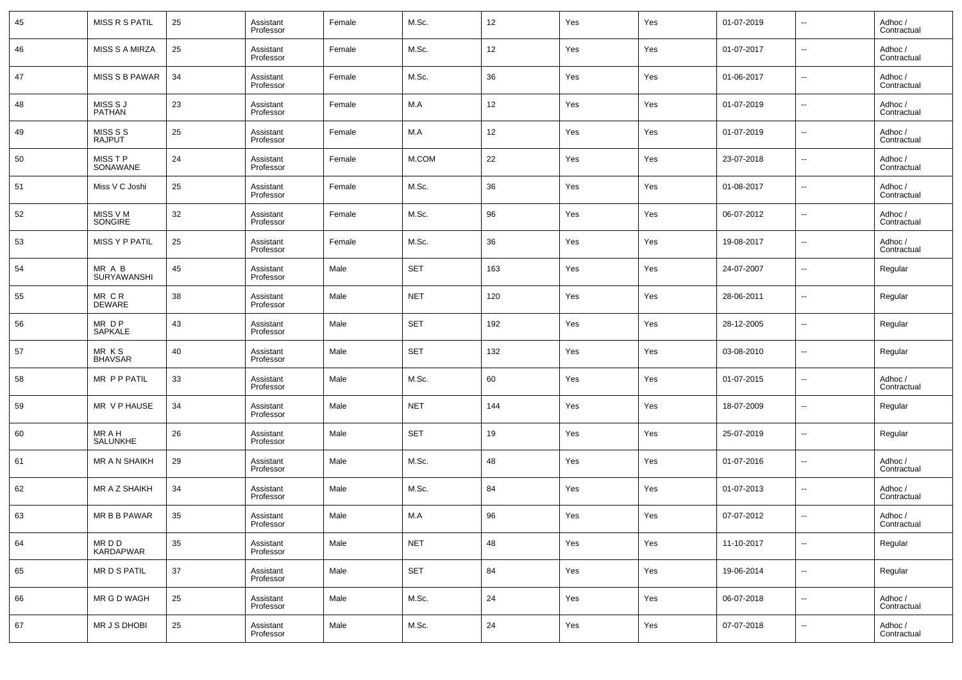| 45 | MISS R S PATIL               | 25 | Assistant<br>Professor | Female | M.Sc.      | 12  | Yes | Yes | 01-07-2019 | $\overline{\phantom{a}}$ | Adhoc /<br>Contractual |
|----|------------------------------|----|------------------------|--------|------------|-----|-----|-----|------------|--------------------------|------------------------|
| 46 | <b>MISS S A MIRZA</b>        | 25 | Assistant<br>Professor | Female | M.Sc.      | 12  | Yes | Yes | 01-07-2017 | $\overline{\phantom{a}}$ | Adhoc /<br>Contractual |
| 47 | <b>MISS S B PAWAR</b>        | 34 | Assistant<br>Professor | Female | M.Sc.      | 36  | Yes | Yes | 01-06-2017 | $\overline{\phantom{a}}$ | Adhoc /<br>Contractual |
| 48 | MISS S J<br><b>PATHAN</b>    | 23 | Assistant<br>Professor | Female | M.A        | 12  | Yes | Yes | 01-07-2019 | $\overline{\phantom{a}}$ | Adhoc /<br>Contractual |
| 49 | MISS S S<br><b>RAJPUT</b>    | 25 | Assistant<br>Professor | Female | M.A        | 12  | Yes | Yes | 01-07-2019 | $\overline{\phantom{a}}$ | Adhoc /<br>Contractual |
| 50 | MISS T P<br>SONAWANE         | 24 | Assistant<br>Professor | Female | M.COM      | 22  | Yes | Yes | 23-07-2018 | $\overline{\phantom{a}}$ | Adhoc /<br>Contractual |
| 51 | Miss V C Joshi               | 25 | Assistant<br>Professor | Female | M.Sc.      | 36  | Yes | Yes | 01-08-2017 | $\overline{\phantom{a}}$ | Adhoc /<br>Contractual |
| 52 | MISS V M<br>SONGIRE          | 32 | Assistant<br>Professor | Female | M.Sc.      | 96  | Yes | Yes | 06-07-2012 | $\overline{\phantom{a}}$ | Adhoc /<br>Contractual |
| 53 | MISS Y P PATIL               | 25 | Assistant<br>Professor | Female | M.Sc.      | 36  | Yes | Yes | 19-08-2017 | $\overline{\phantom{a}}$ | Adhoc /<br>Contractual |
| 54 | MR A B<br><b>SURYAWANSHI</b> | 45 | Assistant<br>Professor | Male   | <b>SET</b> | 163 | Yes | Yes | 24-07-2007 | $\overline{\phantom{a}}$ | Regular                |
| 55 | MR CR<br><b>DEWARE</b>       | 38 | Assistant<br>Professor | Male   | <b>NET</b> | 120 | Yes | Yes | 28-06-2011 | $\overline{\phantom{a}}$ | Regular                |
| 56 | MR DP<br><b>SAPKALE</b>      | 43 | Assistant<br>Professor | Male   | <b>SET</b> | 192 | Yes | Yes | 28-12-2005 | $\overline{\phantom{a}}$ | Regular                |
| 57 | MR KS<br><b>BHAVSAR</b>      | 40 | Assistant<br>Professor | Male   | <b>SET</b> | 132 | Yes | Yes | 03-08-2010 | $\overline{\phantom{a}}$ | Regular                |
| 58 | MR P P PATIL                 | 33 | Assistant<br>Professor | Male   | M.Sc.      | 60  | Yes | Yes | 01-07-2015 | $\overline{\phantom{a}}$ | Adhoc /<br>Contractual |
| 59 | MR V P HAUSE                 | 34 | Assistant<br>Professor | Male   | <b>NET</b> | 144 | Yes | Yes | 18-07-2009 | $\overline{\phantom{a}}$ | Regular                |
| 60 | MR A H<br>SALUNKHE           | 26 | Assistant<br>Professor | Male   | <b>SET</b> | 19  | Yes | Yes | 25-07-2019 | $\overline{\phantom{a}}$ | Regular                |
| 61 | <b>MR A N SHAIKH</b>         | 29 | Assistant<br>Professor | Male   | M.Sc.      | 48  | Yes | Yes | 01-07-2016 | $\overline{\phantom{a}}$ | Adhoc /<br>Contractual |
| 62 | MR A Z SHAIKH                | 34 | Assistant<br>Professor | Male   | M.Sc.      | 84  | Yes | Yes | 01-07-2013 | $\overline{\phantom{a}}$ | Adhoc /<br>Contractual |
| 63 | MR B B PAWAR                 | 35 | Assistant<br>Professor | Male   | M.A        | 96  | Yes | Yes | 07-07-2012 | $\overline{\phantom{a}}$ | Adhoc /<br>Contractual |
| 64 | MR D D<br><b>KARDAPWAR</b>   | 35 | Assistant<br>Professor | Male   | <b>NET</b> | 48  | Yes | Yes | 11-10-2017 | $\overline{\phantom{a}}$ | Regular                |
| 65 | MR D S PATIL                 | 37 | Assistant<br>Professor | Male   | <b>SET</b> | 84  | Yes | Yes | 19-06-2014 | $\overline{\phantom{a}}$ | Regular                |
| 66 | MR G D WAGH                  | 25 | Assistant<br>Professor | Male   | M.Sc.      | 24  | Yes | Yes | 06-07-2018 | ۰.                       | Adhoc /<br>Contractual |
| 67 | MR J S DHOBI                 | 25 | Assistant<br>Professor | Male   | M.Sc.      | 24  | Yes | Yes | 07-07-2018 | $\overline{\phantom{a}}$ | Adhoc /<br>Contractual |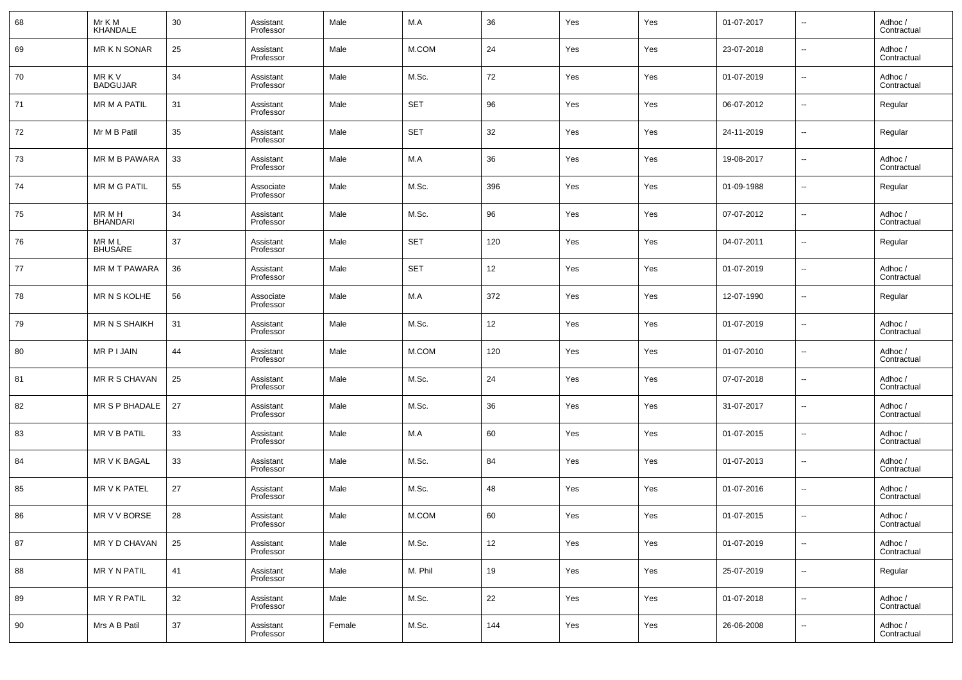| 68 | Mr K M<br>KHANDALE        | 30 | Assistant<br>Professor | Male   | M.A        | 36  | Yes | Yes | 01-07-2017 | $\overline{\phantom{a}}$ | Adhoc /<br>Contractual |
|----|---------------------------|----|------------------------|--------|------------|-----|-----|-----|------------|--------------------------|------------------------|
| 69 | MR K N SONAR              | 25 | Assistant<br>Professor | Male   | M.COM      | 24  | Yes | Yes | 23-07-2018 | $\overline{\phantom{a}}$ | Adhoc /<br>Contractual |
| 70 | MR K V<br><b>BADGUJAR</b> | 34 | Assistant<br>Professor | Male   | M.Sc.      | 72  | Yes | Yes | 01-07-2019 | $\overline{\phantom{a}}$ | Adhoc /<br>Contractual |
| 71 | <b>MR M A PATIL</b>       | 31 | Assistant<br>Professor | Male   | <b>SET</b> | 96  | Yes | Yes | 06-07-2012 | $\overline{\phantom{a}}$ | Regular                |
| 72 | Mr M B Patil              | 35 | Assistant<br>Professor | Male   | <b>SET</b> | 32  | Yes | Yes | 24-11-2019 | $\overline{\phantom{a}}$ | Regular                |
| 73 | MR M B PAWARA             | 33 | Assistant<br>Professor | Male   | M.A        | 36  | Yes | Yes | 19-08-2017 | $\sim$                   | Adhoc /<br>Contractual |
| 74 | <b>MR M G PATIL</b>       | 55 | Associate<br>Professor | Male   | M.Sc.      | 396 | Yes | Yes | 01-09-1988 | $\overline{\phantom{a}}$ | Regular                |
| 75 | MR M H<br><b>BHANDARI</b> | 34 | Assistant<br>Professor | Male   | M.Sc.      | 96  | Yes | Yes | 07-07-2012 | $\overline{\phantom{a}}$ | Adhoc /<br>Contractual |
| 76 | MR M L<br><b>BHUSARE</b>  | 37 | Assistant<br>Professor | Male   | <b>SET</b> | 120 | Yes | Yes | 04-07-2011 | $\sim$                   | Regular                |
| 77 | MR M T PAWARA             | 36 | Assistant<br>Professor | Male   | <b>SET</b> | 12  | Yes | Yes | 01-07-2019 | $\overline{\phantom{a}}$ | Adhoc /<br>Contractual |
| 78 | MR N S KOLHE              | 56 | Associate<br>Professor | Male   | M.A        | 372 | Yes | Yes | 12-07-1990 | $\sim$                   | Regular                |
| 79 | <b>MR N S SHAIKH</b>      | 31 | Assistant<br>Professor | Male   | M.Sc.      | 12  | Yes | Yes | 01-07-2019 | $\sim$                   | Adhoc /<br>Contractual |
| 80 | MR P I JAIN               | 44 | Assistant<br>Professor | Male   | M.COM      | 120 | Yes | Yes | 01-07-2010 | $\sim$                   | Adhoc /<br>Contractual |
| 81 | MR R S CHAVAN             | 25 | Assistant<br>Professor | Male   | M.Sc.      | 24  | Yes | Yes | 07-07-2018 | $\sim$                   | Adhoc /<br>Contractual |
| 82 | MR S P BHADALE            | 27 | Assistant<br>Professor | Male   | M.Sc.      | 36  | Yes | Yes | 31-07-2017 | $\sim$                   | Adhoc /<br>Contractual |
| 83 | MR V B PATIL              | 33 | Assistant<br>Professor | Male   | M.A        | 60  | Yes | Yes | 01-07-2015 | $\sim$                   | Adhoc /<br>Contractual |
| 84 | MR V K BAGAL              | 33 | Assistant<br>Professor | Male   | M.Sc.      | 84  | Yes | Yes | 01-07-2013 | $\sim$                   | Adhoc /<br>Contractual |
| 85 | MR V K PATEL              | 27 | Assistant<br>Professor | Male   | M.Sc.      | 48  | Yes | Yes | 01-07-2016 | $\sim$                   | Adhoc /<br>Contractual |
| 86 | MR V V BORSE              | 28 | Assistant<br>Professor | Male   | M.COM      | 60  | Yes | Yes | 01-07-2015 | $\overline{\phantom{a}}$ | Adhoc /<br>Contractual |
| 87 | MR Y D CHAVAN             | 25 | Assistant<br>Professor | Male   | M.Sc.      | 12  | Yes | Yes | 01-07-2019 | $\overline{\phantom{a}}$ | Adhoc /<br>Contractual |
| 88 | MR Y N PATIL              | 41 | Assistant<br>Professor | Male   | M. Phil    | 19  | Yes | Yes | 25-07-2019 | $\ddotsc$                | Regular                |
| 89 | MR Y R PATIL              | 32 | Assistant<br>Professor | Male   | M.Sc.      | 22  | Yes | Yes | 01-07-2018 | $\overline{\phantom{a}}$ | Adhoc /<br>Contractual |
| 90 | Mrs A B Patil             | 37 | Assistant<br>Professor | Female | M.Sc.      | 144 | Yes | Yes | 26-06-2008 | $\overline{\phantom{a}}$ | Adhoc /<br>Contractual |